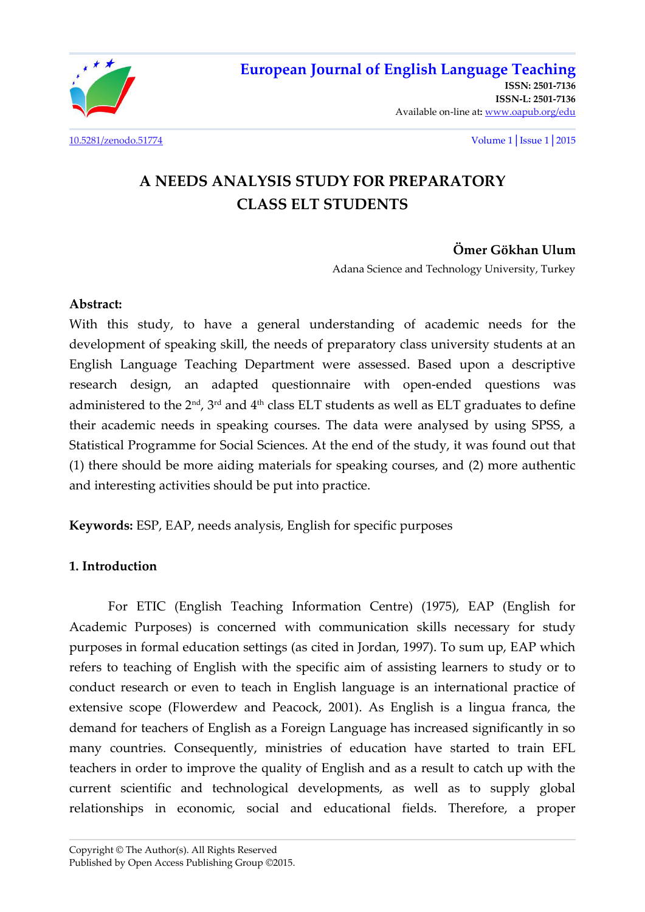

**[ISSN: 2501-7136](http://oapub.org/edu/index.php/ejes)  [ISSN-L: 2501-7136](http://oapub.org/edu/index.php/ejes)**  Available on-line at**:** [www.oapub.org/edu](http://www.oapub.org/edu)

[10.5281/zenodo.51774](http://dx.doi.org/10.5281/zenodo.51774) Volume 1│Issue 1│2015

# **A NEEDS ANALYSIS STUDY FOR PREPARATORY CLASS ELT STUDENTS**

# **Ömer Gökhan Ulum**

Adana Science and Technology University, Turkey

#### **Abstract:**

With this study, to have a general understanding of academic needs for the development of speaking skill, the needs of preparatory class university students at an English Language Teaching Department were assessed. Based upon a descriptive research design, an adapted questionnaire with open-ended questions was administered to the  $2<sup>nd</sup>$ ,  $3<sup>rd</sup>$  and  $4<sup>th</sup>$  class ELT students as well as ELT graduates to define their academic needs in speaking courses. The data were analysed by using SPSS, a Statistical Programme for Social Sciences. At the end of the study, it was found out that (1) there should be more aiding materials for speaking courses, and (2) more authentic and interesting activities should be put into practice.

**Keywords:** ESP, EAP, needs analysis, English for specific purposes

# **1. Introduction**

For ETIC (English Teaching Information Centre) (1975), EAP (English for Academic Purposes) is concerned with communication skills necessary for study purposes in formal education settings (as cited in Jordan, 1997). To sum up, EAP which refers to teaching of English with the specific aim of assisting learners to study or to conduct research or even to teach in English language is an international practice of extensive scope (Flowerdew and Peacock, 2001). As English is a lingua franca, the demand for teachers of English as a Foreign Language has increased significantly in so many countries. Consequently, ministries of education have started to train EFL teachers in order to improve the quality of English and as a result to catch up with the current scientific and technological developments, as well as to supply global relationships in economic, social and educational fields. Therefore, a proper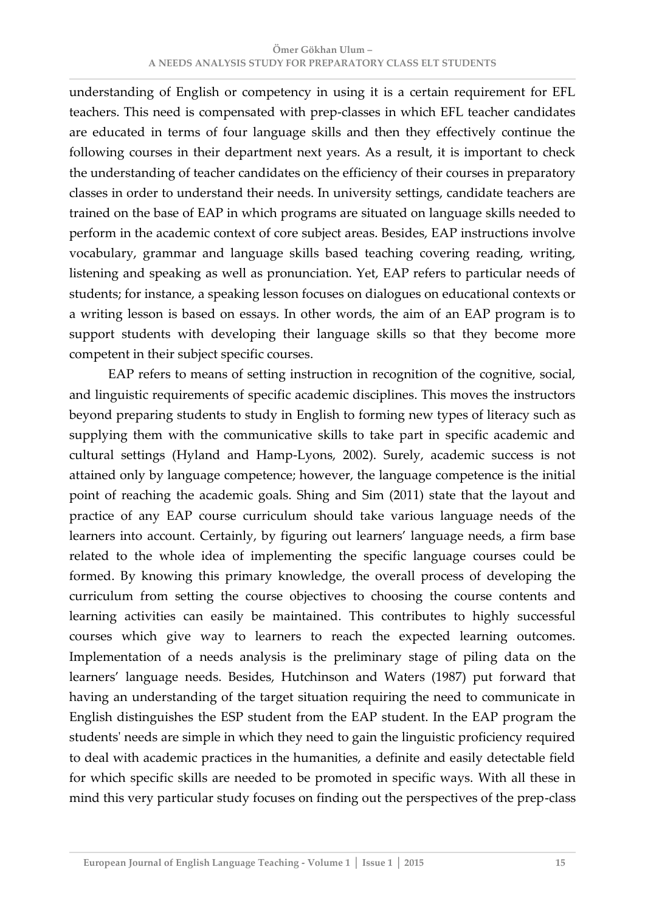understanding of English or competency in using it is a certain requirement for EFL teachers. This need is compensated with prep-classes in which EFL teacher candidates are educated in terms of four language skills and then they effectively continue the following courses in their department next years. As a result, it is important to check the understanding of teacher candidates on the efficiency of their courses in preparatory classes in order to understand their needs. In university settings, candidate teachers are trained on the base of EAP in which programs are situated on language skills needed to perform in the academic context of core subject areas. Besides, EAP instructions involve vocabulary, grammar and language skills based teaching covering reading, writing, listening and speaking as well as pronunciation. Yet, EAP refers to particular needs of students; for instance, a speaking lesson focuses on dialogues on educational contexts or a writing lesson is based on essays. In other words, the aim of an EAP program is to support students with developing their language skills so that they become more competent in their subject specific courses.

 EAP refers to means of setting instruction in recognition of the cognitive, social, and linguistic requirements of specific academic disciplines. This moves the instructors beyond preparing students to study in English to forming new types of literacy such as supplying them with the communicative skills to take part in specific academic and cultural settings (Hyland and Hamp-Lyons, 2002). Surely, academic success is not attained only by language competence; however, the language competence is the initial point of reaching the academic goals. Shing and Sim (2011) state that the layout and practice of any EAP course curriculum should take various language needs of the learners into account. Certainly, by figuring out learners' language needs, a firm base related to the whole idea of implementing the specific language courses could be formed. By knowing this primary knowledge, the overall process of developing the curriculum from setting the course objectives to choosing the course contents and learning activities can easily be maintained. This contributes to highly successful courses which give way to learners to reach the expected learning outcomes. Implementation of a needs analysis is the preliminary stage of piling data on the learners' language needs. Besides, Hutchinson and Waters (1987) put forward that having an understanding of the target situation requiring the need to communicate in English distinguishes the ESP student from the EAP student. In the EAP program the students' needs are simple in which they need to gain the linguistic proficiency required to deal with academic practices in the humanities, a definite and easily detectable field for which specific skills are needed to be promoted in specific ways. With all these in mind this very particular study focuses on finding out the perspectives of the prep-class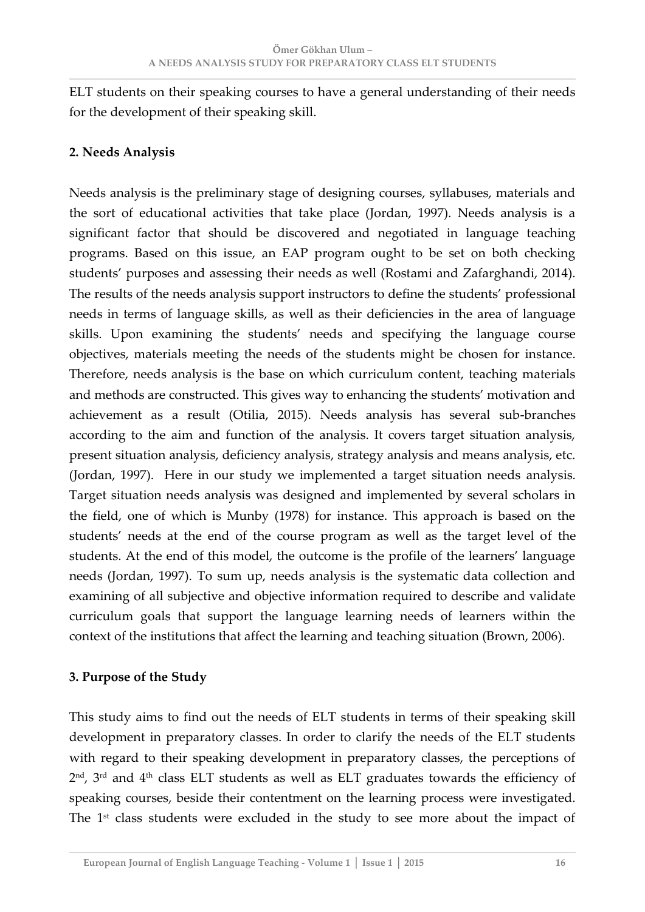ELT students on their speaking courses to have a general understanding of their needs for the development of their speaking skill.

# **2. Needs Analysis**

Needs analysis is the preliminary stage of designing courses, syllabuses, materials and the sort of educational activities that take place (Jordan, 1997). Needs analysis is a significant factor that should be discovered and negotiated in language teaching programs. Based on this issue, an EAP program ought to be set on both checking students' purposes and assessing their needs as well (Rostami and Zafarghandi, 2014). The results of the needs analysis support instructors to define the students' professional needs in terms of language skills, as well as their deficiencies in the area of language skills. Upon examining the students' needs and specifying the language course objectives, materials meeting the needs of the students might be chosen for instance. Therefore, needs analysis is the base on which curriculum content, teaching materials and methods are constructed. This gives way to enhancing the students' motivation and achievement as a result (Otilia, 2015). Needs analysis has several sub-branches according to the aim and function of the analysis. It covers target situation analysis, present situation analysis, deficiency analysis, strategy analysis and means analysis, etc. (Jordan, 1997). Here in our study we implemented a target situation needs analysis. Target situation needs analysis was designed and implemented by several scholars in the field, one of which is Munby (1978) for instance. This approach is based on the students' needs at the end of the course program as well as the target level of the students. At the end of this model, the outcome is the profile of the learners' language needs (Jordan, 1997). To sum up, needs analysis is the systematic data collection and examining of all subjective and objective information required to describe and validate curriculum goals that support the language learning needs of learners within the context of the institutions that affect the learning and teaching situation (Brown, 2006).

# **3. Purpose of the Study**

This study aims to find out the needs of ELT students in terms of their speaking skill development in preparatory classes. In order to clarify the needs of the ELT students with regard to their speaking development in preparatory classes, the perceptions of  $2<sup>nd</sup>$ ,  $3<sup>rd</sup>$  and  $4<sup>th</sup>$  class ELT students as well as ELT graduates towards the efficiency of speaking courses, beside their contentment on the learning process were investigated. The 1<sup>st</sup> class students were excluded in the study to see more about the impact of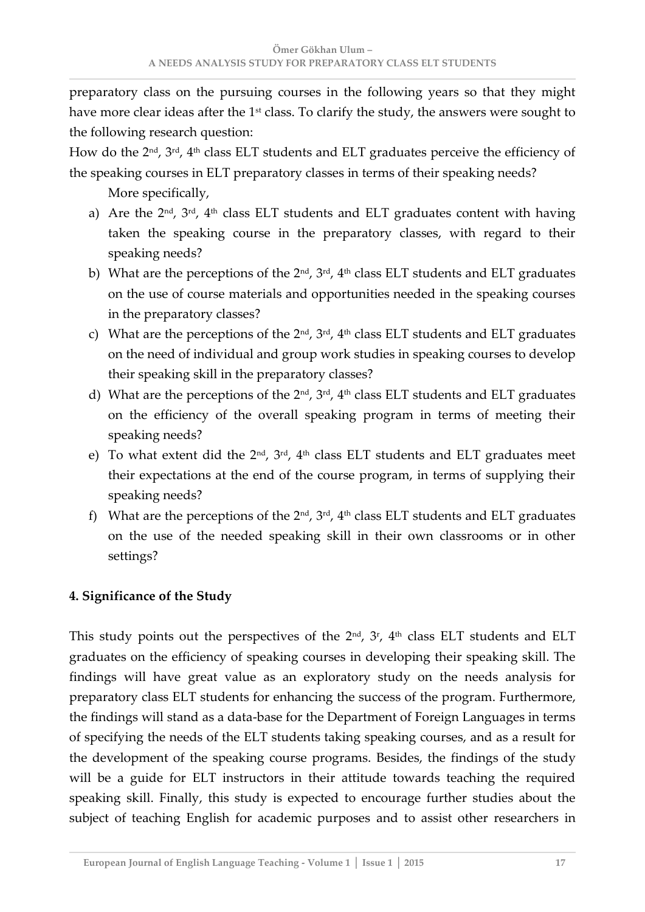preparatory class on the pursuing courses in the following years so that they might have more clear ideas after the  $1<sup>st</sup>$  class. To clarify the study, the answers were sought to the following research question:

How do the 2<sup>nd</sup>, 3<sup>rd</sup>, 4<sup>th</sup> class ELT students and ELT graduates perceive the efficiency of the speaking courses in ELT preparatory classes in terms of their speaking needs?

More specifically,

- a) Are the  $2^{nd}$ ,  $3^{rd}$ ,  $4^{th}$  class ELT students and ELT graduates content with having taken the speaking course in the preparatory classes, with regard to their speaking needs?
- b) What are the perceptions of the 2<sup>nd</sup>, 3<sup>rd</sup>, 4<sup>th</sup> class ELT students and ELT graduates on the use of course materials and opportunities needed in the speaking courses in the preparatory classes?
- c) What are the perceptions of the  $2^{nd}$ ,  $3^{rd}$ ,  $4^{th}$  class ELT students and ELT graduates on the need of individual and group work studies in speaking courses to develop their speaking skill in the preparatory classes?
- d) What are the perceptions of the 2<sup>nd</sup>, 3<sup>rd</sup>, 4<sup>th</sup> class ELT students and ELT graduates on the efficiency of the overall speaking program in terms of meeting their speaking needs?
- e) To what extent did the  $2^{nd}$ ,  $3^{rd}$ ,  $4^{th}$  class ELT students and ELT graduates meet their expectations at the end of the course program, in terms of supplying their speaking needs?
- f) What are the perceptions of the  $2^{nd}$ ,  $3^{rd}$ ,  $4^{th}$  class ELT students and ELT graduates on the use of the needed speaking skill in their own classrooms or in other settings?

# **4. Significance of the Study**

This study points out the perspectives of the  $2<sup>nd</sup>$ ,  $3<sup>r</sup>$ ,  $4<sup>th</sup>$  class ELT students and ELT graduates on the efficiency of speaking courses in developing their speaking skill. The findings will have great value as an exploratory study on the needs analysis for preparatory class ELT students for enhancing the success of the program. Furthermore, the findings will stand as a data-base for the Department of Foreign Languages in terms of specifying the needs of the ELT students taking speaking courses, and as a result for the development of the speaking course programs. Besides, the findings of the study will be a guide for ELT instructors in their attitude towards teaching the required speaking skill. Finally, this study is expected to encourage further studies about the subject of teaching English for academic purposes and to assist other researchers in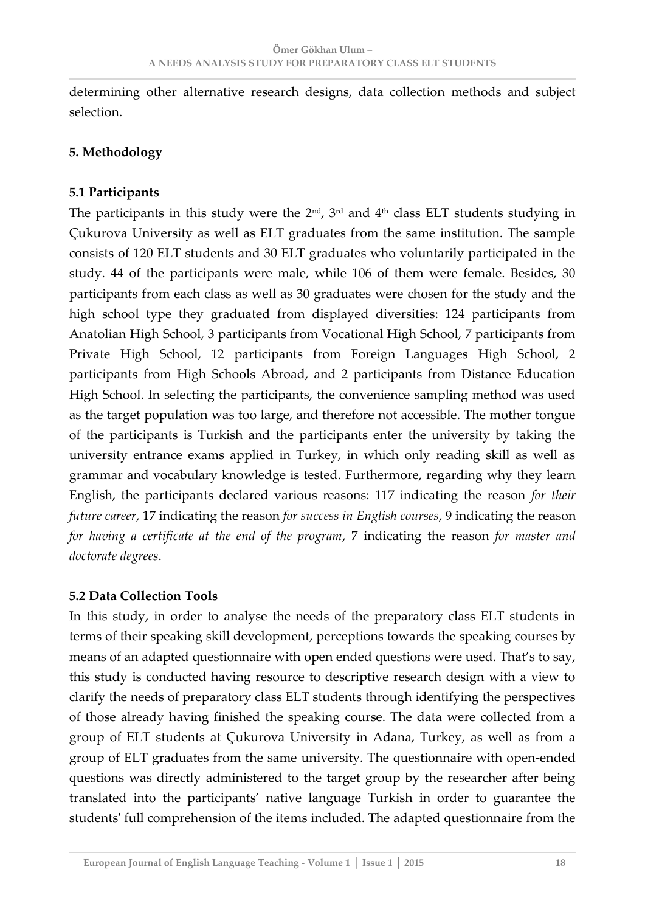determining other alternative research designs, data collection methods and subject selection.

### **5. Methodology**

#### **5.1 Participants**

The participants in this study were the  $2<sup>nd</sup>$ ,  $3<sup>rd</sup>$  and  $4<sup>th</sup>$  class ELT students studying in Çukurova University as well as ELT graduates from the same institution. The sample consists of 120 ELT students and 30 ELT graduates who voluntarily participated in the study. 44 of the participants were male, while 106 of them were female. Besides, 30 participants from each class as well as 30 graduates were chosen for the study and the high school type they graduated from displayed diversities: 124 participants from Anatolian High School, 3 participants from Vocational High School, 7 participants from Private High School, 12 participants from Foreign Languages High School, 2 participants from High Schools Abroad, and 2 participants from Distance Education High School. In selecting the participants, the convenience sampling method was used as the target population was too large, and therefore not accessible. The mother tongue of the participants is Turkish and the participants enter the university by taking the university entrance exams applied in Turkey, in which only reading skill as well as grammar and vocabulary knowledge is tested. Furthermore, regarding why they learn English, the participants declared various reasons: 117 indicating the reason *for their future career*, 17 indicating the reason *for success in English courses*, 9 indicating the reason *for having a certificate at the end of the program*, 7 indicating the reason *for master and doctorate degrees*.

#### **5.2 Data Collection Tools**

In this study, in order to analyse the needs of the preparatory class ELT students in terms of their speaking skill development, perceptions towards the speaking courses by means of an adapted questionnaire with open ended questions were used. That's to say, this study is conducted having resource to descriptive research design with a view to clarify the needs of preparatory class ELT students through identifying the perspectives of those already having finished the speaking course. The data were collected from a group of ELT students at Çukurova University in Adana, Turkey, as well as from a group of ELT graduates from the same university. The questionnaire with open-ended questions was directly administered to the target group by the researcher after being translated into the participants' native language Turkish in order to guarantee the students' full comprehension of the items included. The adapted questionnaire from the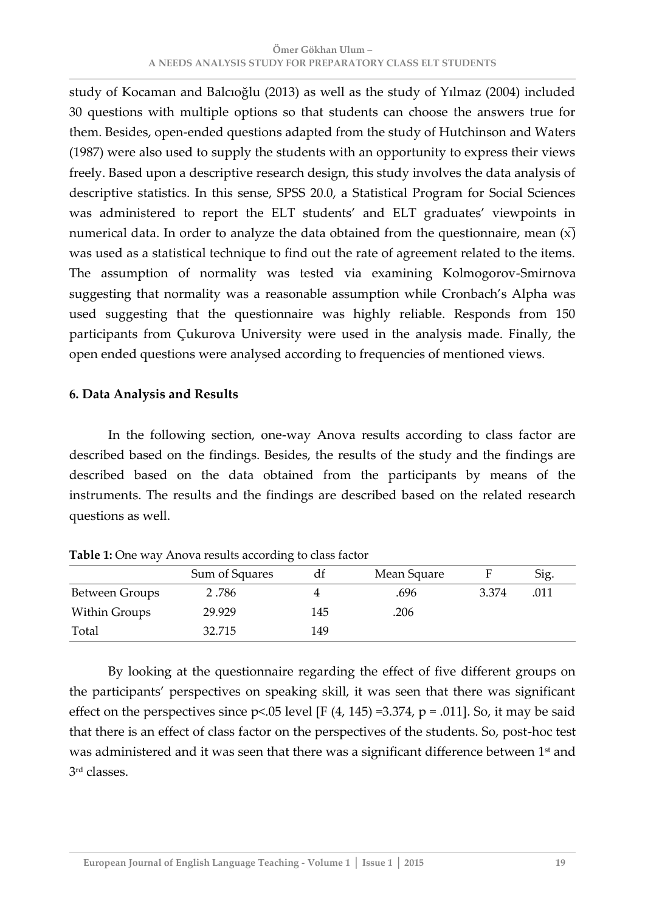study of Kocaman and Balcıoğlu (2013) as well as the study of Yılmaz (2004) included 30 questions with multiple options so that students can choose the answers true for them. Besides, open-ended questions adapted from the study of Hutchinson and Waters (1987) were also used to supply the students with an opportunity to express their views freely. Based upon a descriptive research design, this study involves the data analysis of descriptive statistics. In this sense, SPSS 20.0, a Statistical Program for Social Sciences was administered to report the ELT students' and ELT graduates' viewpoints in numerical data. In order to analyze the data obtained from the questionnaire, mean  $(x)$ was used as a statistical technique to find out the rate of agreement related to the items. The assumption of normality was tested via examining Kolmogorov-Smirnova suggesting that normality was a reasonable assumption while Cronbach's Alpha was used suggesting that the questionnaire was highly reliable. Responds from 150 participants from Çukurova University were used in the analysis made. Finally, the open ended questions were analysed according to frequencies of mentioned views.

#### **6. Data Analysis and Results**

In the following section, one-way Anova results according to class factor are described based on the findings. Besides, the results of the study and the findings are described based on the data obtained from the participants by means of the instruments. The results and the findings are described based on the related research questions as well.

|                | Sum of Squares |     | Mean Square |       | Sig. |
|----------------|----------------|-----|-------------|-------|------|
| Between Groups | 2.786          |     | .696        | 3.374 | .011 |
| Within Groups  | 29.929         | 145 | .206        |       |      |
| Total          | 32.715         | 149 |             |       |      |

**Table 1:** One way Anova results according to class factor

By looking at the questionnaire regarding the effect of five different groups on the participants' perspectives on speaking skill, it was seen that there was significant effect on the perspectives since  $p<0.05$  level [F (4, 145) =3.374,  $p = .011$ ]. So, it may be said that there is an effect of class factor on the perspectives of the students. So, post-hoc test was administered and it was seen that there was a significant difference between 1<sup>st</sup> and 3 rd classes.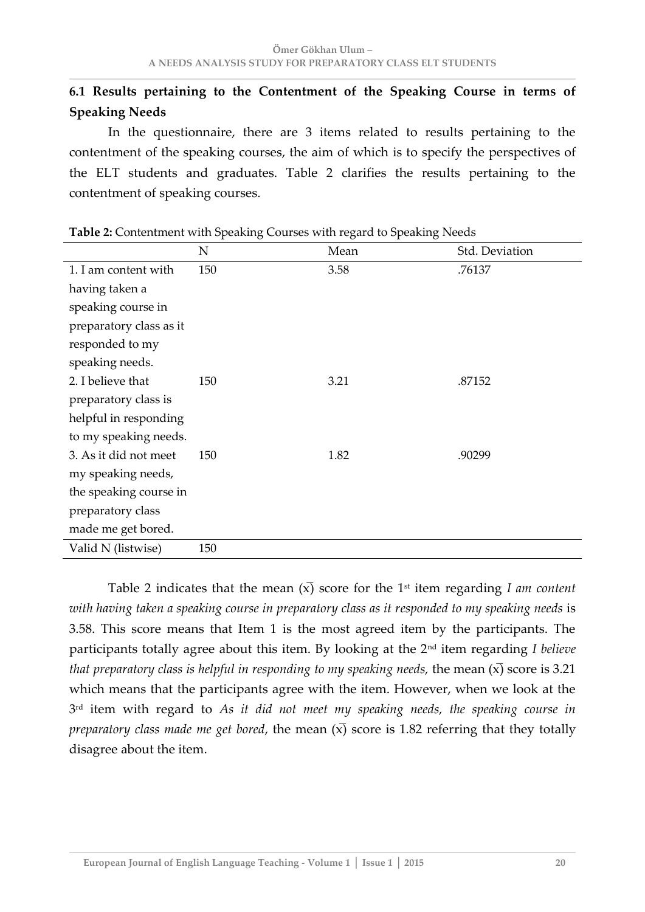# **6.1 Results pertaining to the Contentment of the Speaking Course in terms of Speaking Needs**

In the questionnaire, there are 3 items related to results pertaining to the contentment of the speaking courses, the aim of which is to specify the perspectives of the ELT students and graduates. Table 2 clarifies the results pertaining to the contentment of speaking courses.

|                         | $\mathbf N$ | Mean | Std. Deviation |
|-------------------------|-------------|------|----------------|
| 1. I am content with    | 150         | 3.58 | .76137         |
| having taken a          |             |      |                |
| speaking course in      |             |      |                |
| preparatory class as it |             |      |                |
| responded to my         |             |      |                |
| speaking needs.         |             |      |                |
| 2. I believe that       | 150         | 3.21 | .87152         |
| preparatory class is    |             |      |                |
| helpful in responding   |             |      |                |
| to my speaking needs.   |             |      |                |
| 3. As it did not meet   | 150         | 1.82 | .90299         |
| my speaking needs,      |             |      |                |
| the speaking course in  |             |      |                |
| preparatory class       |             |      |                |
| made me get bored.      |             |      |                |
| Valid N (listwise)      | 150         |      |                |

**Table 2:** Contentment with Speaking Courses with regard to Speaking Needs

Table 2 indicates that the mean  $(x)$  score for the 1<sup>st</sup> item regarding *I am content with having taken a speaking course in preparatory class as it responded to my speaking needs* is 3.58. This score means that Item 1 is the most agreed item by the participants. The participants totally agree about this item. By looking at the 2<sup>nd</sup> item regarding *I believe that preparatory class is helpful in responding to my speaking needs, the mean*  $(\overline{x})$  score is 3.21 which means that the participants agree with the item. However, when we look at the 3 rd item with regard to *As it did not meet my speaking needs, the speaking course in preparatory class made me get bored*, the mean  $(x)$  score is 1.82 referring that they totally disagree about the item.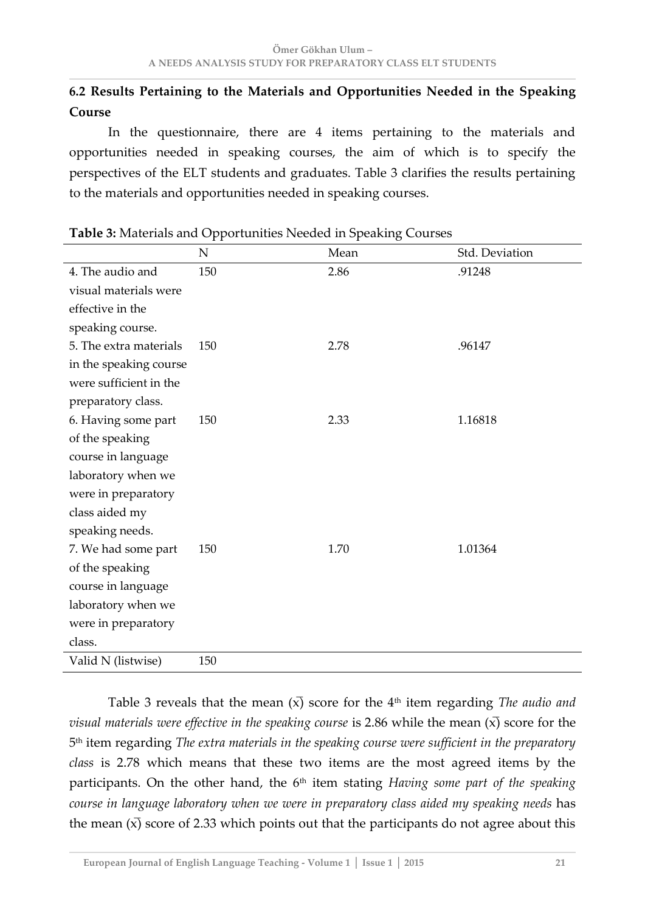# **6.2 Results Pertaining to the Materials and Opportunities Needed in the Speaking Course**

In the questionnaire, there are 4 items pertaining to the materials and opportunities needed in speaking courses, the aim of which is to specify the perspectives of the ELT students and graduates. Table 3 clarifies the results pertaining to the materials and opportunities needed in speaking courses.

|                        | N   | Mean | Std. Deviation |
|------------------------|-----|------|----------------|
| 4. The audio and       | 150 | 2.86 | .91248         |
| visual materials were  |     |      |                |
| effective in the       |     |      |                |
| speaking course.       |     |      |                |
| 5. The extra materials | 150 | 2.78 | .96147         |
| in the speaking course |     |      |                |
| were sufficient in the |     |      |                |
| preparatory class.     |     |      |                |
| 6. Having some part    | 150 | 2.33 | 1.16818        |
| of the speaking        |     |      |                |
| course in language     |     |      |                |
| laboratory when we     |     |      |                |
| were in preparatory    |     |      |                |
| class aided my         |     |      |                |
| speaking needs.        |     |      |                |
| 7. We had some part    | 150 | 1.70 | 1.01364        |
| of the speaking        |     |      |                |
| course in language     |     |      |                |
| laboratory when we     |     |      |                |
| were in preparatory    |     |      |                |
| class.                 |     |      |                |
| Valid N (listwise)     | 150 |      |                |

**Table 3:** Materials and Opportunities Needed in Speaking Courses

Table 3 reveals that the mean  $(x)$  score for the  $4<sup>th</sup>$  item regarding *The audio and visual materials were effective in the speaking course is 2.86 while the mean*  $(x)$  score for the 5 th item regarding *The extra materials in the speaking course were sufficient in the preparatory class* is 2.78 which means that these two items are the most agreed items by the participants. On the other hand, the 6<sup>th</sup> item stating *Having some part of the speaking course in language laboratory when we were in preparatory class aided my speaking needs* has the mean  $(\overline{x})$  score of 2.33 which points out that the participants do not agree about this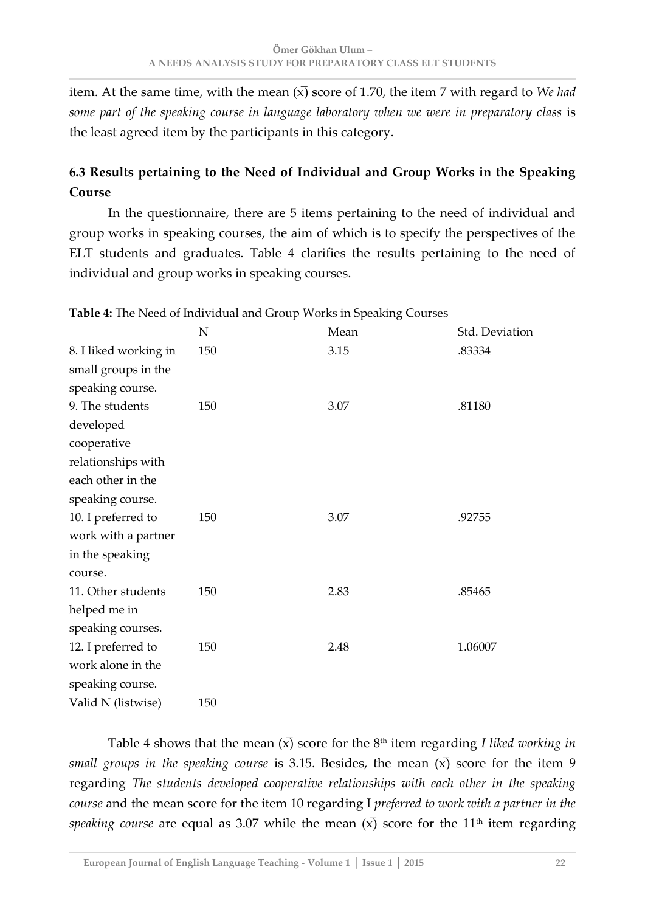item. At the same time, with the mean  $(x)$  score of 1.70, the item 7 with regard to *We had* some part of the speaking course in language laboratory when we were in preparatory class is the least agreed item by the participants in this category.

# **6.3 Results pertaining to the Need of Individual and Group Works in the Speaking Course**

In the questionnaire, there are 5 items pertaining to the need of individual and group works in speaking courses, the aim of which is to specify the perspectives of the ELT students and graduates. Table 4 clarifies the results pertaining to the need of individual and group works in speaking courses.

|                       | ${\bf N}$ | Mean | Std. Deviation |
|-----------------------|-----------|------|----------------|
| 8. I liked working in | 150       | 3.15 | .83334         |
| small groups in the   |           |      |                |
| speaking course.      |           |      |                |
| 9. The students       | 150       | 3.07 | .81180         |
| developed             |           |      |                |
| cooperative           |           |      |                |
| relationships with    |           |      |                |
| each other in the     |           |      |                |
| speaking course.      |           |      |                |
| 10. I preferred to    | 150       | 3.07 | .92755         |
| work with a partner   |           |      |                |
| in the speaking       |           |      |                |
| course.               |           |      |                |
| 11. Other students    | 150       | 2.83 | .85465         |
| helped me in          |           |      |                |
| speaking courses.     |           |      |                |
| 12. I preferred to    | 150       | 2.48 | 1.06007        |
| work alone in the     |           |      |                |
| speaking course.      |           |      |                |
| Valid N (listwise)    | 150       |      |                |

**Table 4:** The Need of Individual and Group Works in Speaking Courses

Table 4 shows that the mean  $(\overline{x})$  score for the 8<sup>th</sup> item regarding *I liked working in small groups in the speaking course* is 3.15. Besides, the mean  $(x)$  score for the item 9 regarding *The students developed cooperative relationships with each other in the speaking course* and the mean score for the item 10 regarding I *preferred to work with a partner in the speaking course* are equal as 3.07 while the mean  $(x)$  score for the 11<sup>th</sup> item regarding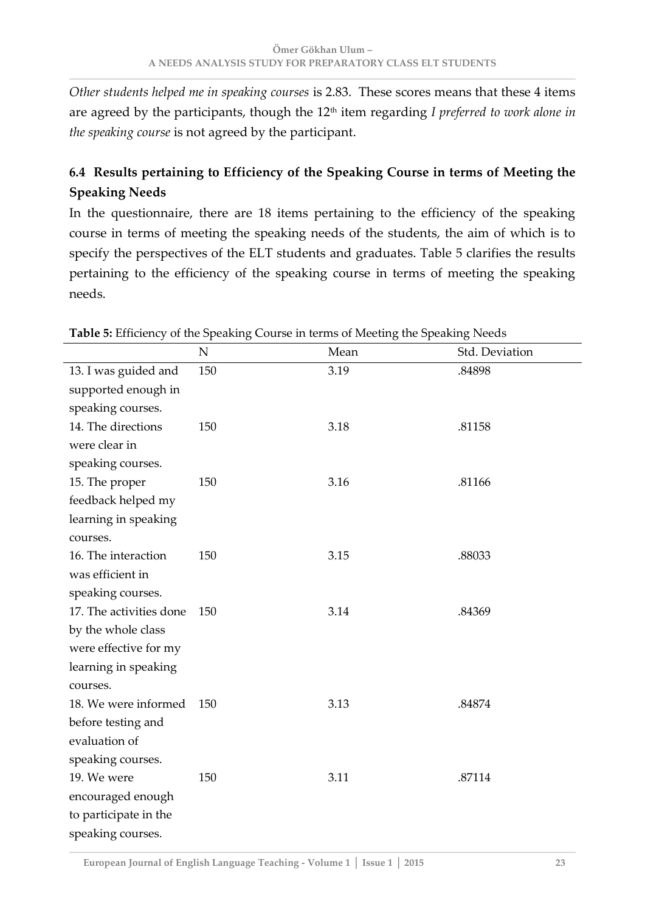*Other students helped me in speaking courses* is 2.83. These scores means that these 4 items are agreed by the participants, though the 12<sup>th</sup> item regarding *I preferred to work alone in the speaking course* is not agreed by the participant.

# **6.4 Results pertaining to Efficiency of the Speaking Course in terms of Meeting the Speaking Needs**

In the questionnaire, there are 18 items pertaining to the efficiency of the speaking course in terms of meeting the speaking needs of the students, the aim of which is to specify the perspectives of the ELT students and graduates. Table 5 clarifies the results pertaining to the efficiency of the speaking course in terms of meeting the speaking needs.

|                         | $\mathbf N$ | Mean | Std. Deviation |
|-------------------------|-------------|------|----------------|
| 13. I was guided and    | 150         | 3.19 | .84898         |
| supported enough in     |             |      |                |
| speaking courses.       |             |      |                |
| 14. The directions      | 150         | 3.18 | .81158         |
| were clear in           |             |      |                |
| speaking courses.       |             |      |                |
| 15. The proper          | 150         | 3.16 | .81166         |
| feedback helped my      |             |      |                |
| learning in speaking    |             |      |                |
| courses.                |             |      |                |
| 16. The interaction     | 150         | 3.15 | .88033         |
| was efficient in        |             |      |                |
| speaking courses.       |             |      |                |
| 17. The activities done | 150         | 3.14 | .84369         |
| by the whole class      |             |      |                |
| were effective for my   |             |      |                |
| learning in speaking    |             |      |                |
| courses.                |             |      |                |
| 18. We were informed    | 150         | 3.13 | .84874         |
| before testing and      |             |      |                |
| evaluation of           |             |      |                |
| speaking courses.       |             |      |                |
| 19. We were             | 150         | 3.11 | .87114         |
| encouraged enough       |             |      |                |
| to participate in the   |             |      |                |
| speaking courses.       |             |      |                |

**Table 5:** Efficiency of the Speaking Course in terms of Meeting the Speaking Needs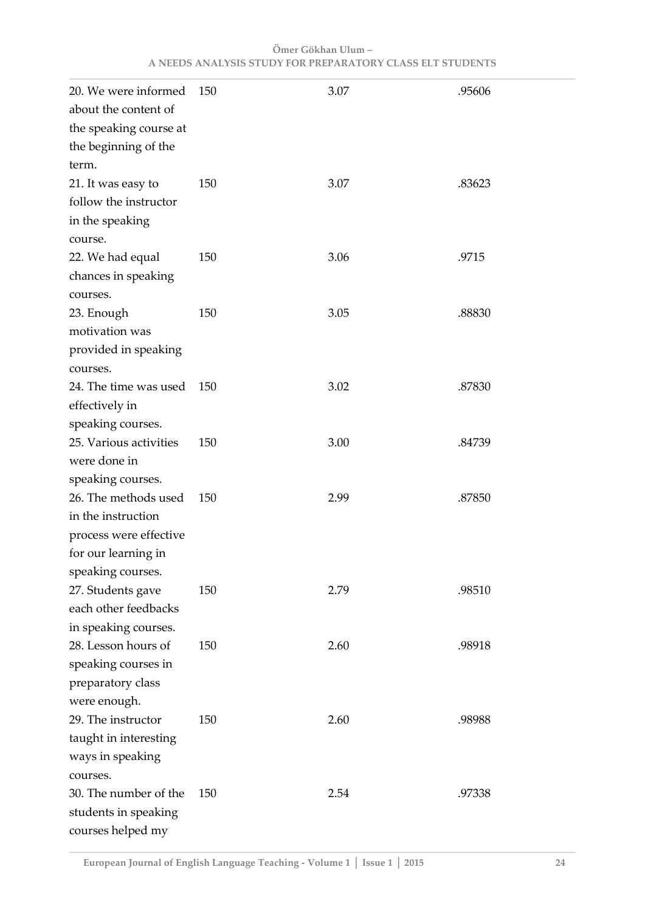| 20. We were informed<br>about the content of                                                                     | 150 | 3.07 | .95606 |
|------------------------------------------------------------------------------------------------------------------|-----|------|--------|
| the speaking course at<br>the beginning of the<br>term.                                                          |     |      |        |
| 21. It was easy to<br>follow the instructor<br>in the speaking<br>course.                                        | 150 | 3.07 | .83623 |
| 22. We had equal<br>chances in speaking<br>courses.                                                              | 150 | 3.06 | .9715  |
| 23. Enough<br>motivation was<br>provided in speaking                                                             | 150 | 3.05 | .88830 |
| courses.<br>24. The time was used<br>effectively in<br>speaking courses.                                         | 150 | 3.02 | .87830 |
| 25. Various activities<br>were done in<br>speaking courses.                                                      | 150 | 3.00 | .84739 |
| 26. The methods used<br>in the instruction<br>process were effective<br>for our learning in<br>speaking courses. | 150 | 2.99 | .87850 |
| 27. Students gave<br>each other feedbacks<br>in speaking courses.                                                | 150 | 2.79 | .98510 |
| 28. Lesson hours of<br>speaking courses in<br>preparatory class<br>were enough.                                  | 150 | 2.60 | .98918 |
| 29. The instructor<br>taught in interesting<br>ways in speaking<br>courses.                                      | 150 | 2.60 | .98988 |
| 30. The number of the<br>students in speaking<br>courses helped my                                               | 150 | 2.54 | .97338 |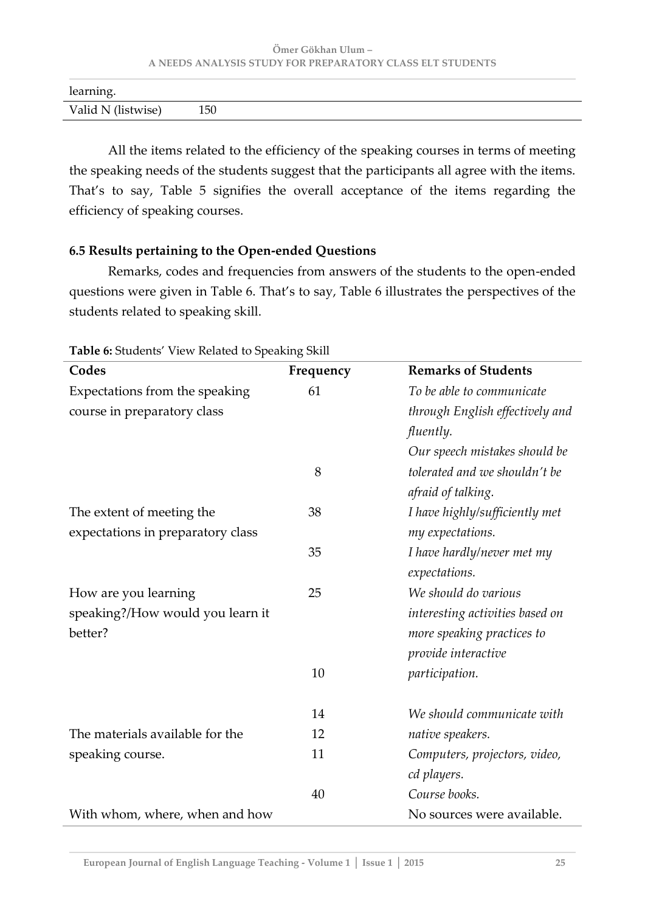| learning.          |     |  |
|--------------------|-----|--|
| Valid N (listwise) | 150 |  |

All the items related to the efficiency of the speaking courses in terms of meeting the speaking needs of the students suggest that the participants all agree with the items. That's to say, Table 5 signifies the overall acceptance of the items regarding the efficiency of speaking courses.

#### **6.5 Results pertaining to the Open-ended Questions**

Remarks, codes and frequencies from answers of the students to the open-ended questions were given in Table 6. That's to say, Table 6 illustrates the perspectives of the students related to speaking skill.

| re or staachts wie in Indiana to speaking |           |                                 |
|-------------------------------------------|-----------|---------------------------------|
| Codes                                     | Frequency | <b>Remarks of Students</b>      |
| Expectations from the speaking            | 61        | To be able to communicate       |
| course in preparatory class               |           | through English effectively and |
|                                           |           | fluently.                       |
|                                           |           | Our speech mistakes should be   |
|                                           | 8         | tolerated and we shouldn't be   |
|                                           |           | afraid of talking.              |
| The extent of meeting the                 | 38        | I have highly/sufficiently met  |
| expectations in preparatory class         |           | my expectations.                |
|                                           | 35        | I have hardly/never met my      |
|                                           |           | expectations.                   |
| How are you learning                      | 25        | We should do various            |
| speaking?/How would you learn it          |           | interesting activities based on |
| better?                                   |           | more speaking practices to      |
|                                           |           | provide interactive             |
|                                           | 10        | participation.                  |
|                                           | 14        | We should communicate with      |
| The materials available for the           | 12        | native speakers.                |
| speaking course.                          | 11        | Computers, projectors, video,   |
|                                           |           | cd players.                     |
|                                           | 40        | Course books.                   |
| With whom, where, when and how            |           | No sources were available.      |

**Table 6:** Students' View Related to Speaking Skill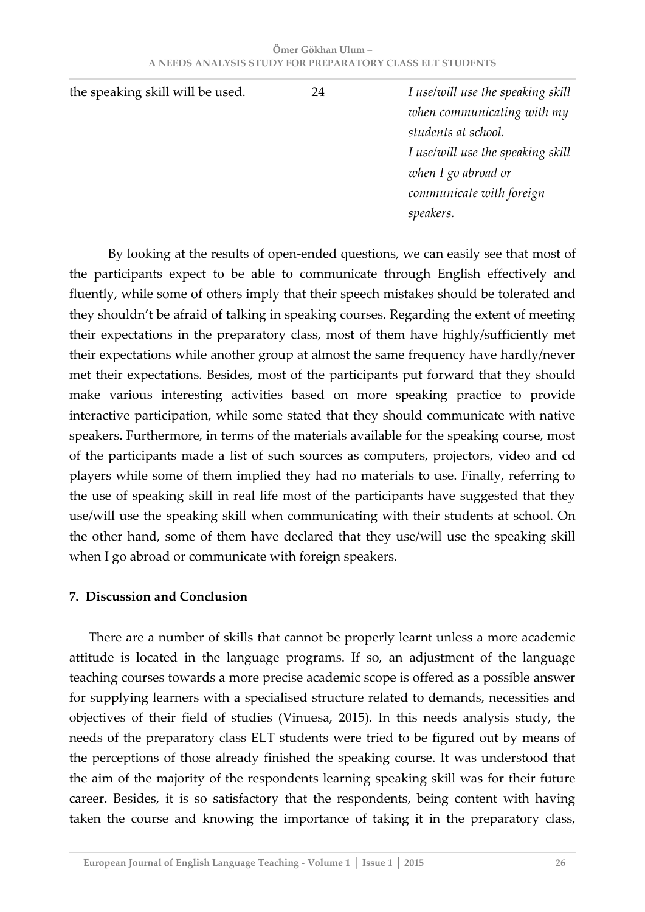| Ömer Gökhan Ulum – |                                                           |  |  |  |  |
|--------------------|-----------------------------------------------------------|--|--|--|--|
|                    | A NEEDS ANALYSIS STUDY FOR PREPARATORY CLASS ELT STUDENTS |  |  |  |  |

| the speaking skill will be used. | 24 | I use/will use the speaking skill<br>when communicating with my<br>students at school.<br>I use/will use the speaking skill |
|----------------------------------|----|-----------------------------------------------------------------------------------------------------------------------------|
|                                  |    | when I go abroad or<br>communicate with foreign<br>speakers.                                                                |

By looking at the results of open-ended questions, we can easily see that most of the participants expect to be able to communicate through English effectively and fluently, while some of others imply that their speech mistakes should be tolerated and they shouldn't be afraid of talking in speaking courses. Regarding the extent of meeting their expectations in the preparatory class, most of them have highly/sufficiently met their expectations while another group at almost the same frequency have hardly/never met their expectations. Besides, most of the participants put forward that they should make various interesting activities based on more speaking practice to provide interactive participation, while some stated that they should communicate with native speakers. Furthermore, in terms of the materials available for the speaking course, most of the participants made a list of such sources as computers, projectors, video and cd players while some of them implied they had no materials to use. Finally, referring to the use of speaking skill in real life most of the participants have suggested that they use/will use the speaking skill when communicating with their students at school. On the other hand, some of them have declared that they use/will use the speaking skill when I go abroad or communicate with foreign speakers.

#### **7. Discussion and Conclusion**

There are a number of skills that cannot be properly learnt unless a more academic attitude is located in the language programs. If so, an adjustment of the language teaching courses towards a more precise academic scope is offered as a possible answer for supplying learners with a specialised structure related to demands, necessities and objectives of their field of studies (Vinuesa, 2015). In this needs analysis study, the needs of the preparatory class ELT students were tried to be figured out by means of the perceptions of those already finished the speaking course. It was understood that the aim of the majority of the respondents learning speaking skill was for their future career. Besides, it is so satisfactory that the respondents, being content with having taken the course and knowing the importance of taking it in the preparatory class,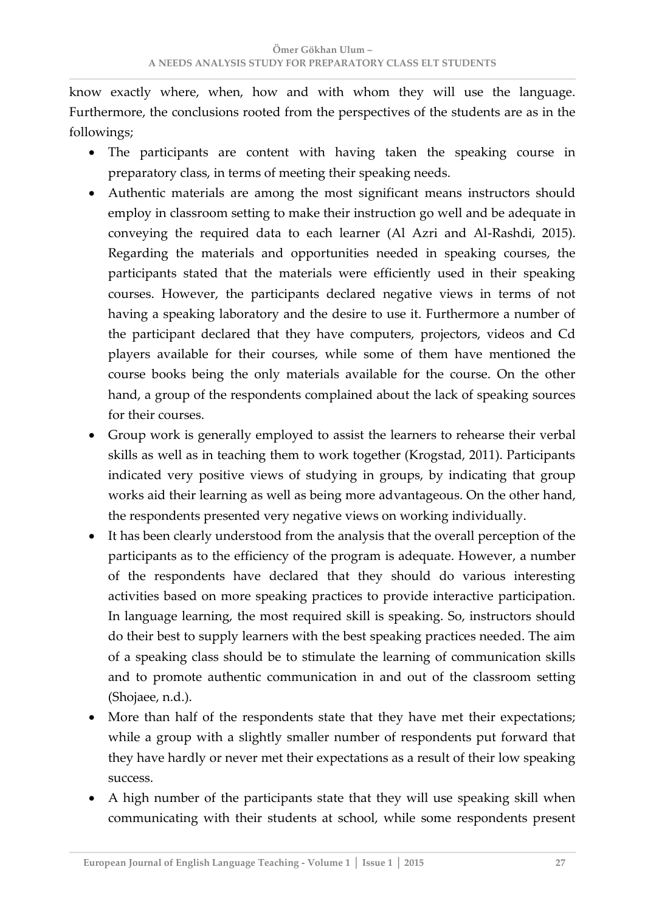know exactly where, when, how and with whom they will use the language. Furthermore, the conclusions rooted from the perspectives of the students are as in the followings;

- The participants are content with having taken the speaking course in preparatory class, in terms of meeting their speaking needs.
- Authentic materials are among the most significant means instructors should employ in classroom setting to make their instruction go well and be adequate in conveying the required data to each learner (Al Azri and Al-Rashdi, 2015). Regarding the materials and opportunities needed in speaking courses, the participants stated that the materials were efficiently used in their speaking courses. However, the participants declared negative views in terms of not having a speaking laboratory and the desire to use it. Furthermore a number of the participant declared that they have computers, projectors, videos and Cd players available for their courses, while some of them have mentioned the course books being the only materials available for the course. On the other hand, a group of the respondents complained about the lack of speaking sources for their courses.
- Group work is generally employed to assist the learners to rehearse their verbal skills as well as in teaching them to work together (Krogstad, 2011). Participants indicated very positive views of studying in groups, by indicating that group works aid their learning as well as being more advantageous. On the other hand, the respondents presented very negative views on working individually.
- It has been clearly understood from the analysis that the overall perception of the participants as to the efficiency of the program is adequate. However, a number of the respondents have declared that they should do various interesting activities based on more speaking practices to provide interactive participation. In language learning, the most required skill is speaking. So, instructors should do their best to supply learners with the best speaking practices needed. The aim of a speaking class should be to stimulate the learning of communication skills and to promote authentic communication in and out of the classroom setting (Shojaee, n.d.).
- More than half of the respondents state that they have met their expectations; while a group with a slightly smaller number of respondents put forward that they have hardly or never met their expectations as a result of their low speaking success.
- A high number of the participants state that they will use speaking skill when communicating with their students at school, while some respondents present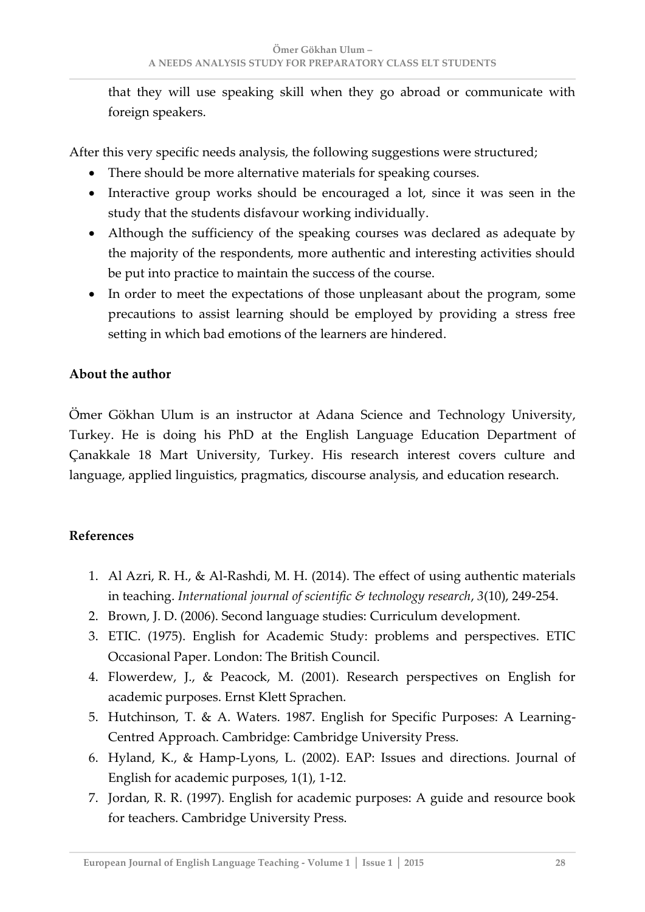that they will use speaking skill when they go abroad or communicate with foreign speakers.

After this very specific needs analysis, the following suggestions were structured;

- There should be more alternative materials for speaking courses.
- Interactive group works should be encouraged a lot, since it was seen in the study that the students disfavour working individually.
- Although the sufficiency of the speaking courses was declared as adequate by the majority of the respondents, more authentic and interesting activities should be put into practice to maintain the success of the course.
- In order to meet the expectations of those unpleasant about the program, some precautions to assist learning should be employed by providing a stress free setting in which bad emotions of the learners are hindered.

# **About the author**

Ömer Gökhan Ulum is an instructor at Adana Science and Technology University, Turkey. He is doing his PhD at the English Language Education Department of Çanakkale 18 Mart University, Turkey. His research interest covers culture and language, applied linguistics, pragmatics, discourse analysis, and education research.

# **References**

- 1. Al Azri, R. H., & Al-Rashdi, M. H. (2014). The effect of using authentic materials in teaching. *International journal of scientific & technology research*, *3*(10), 249-254.
- 2. Brown, J. D. (2006). Second language studies: Curriculum development.
- 3. ETIC. (1975). English for Academic Study: problems and perspectives. ETIC Occasional Paper. London: The British Council.
- 4. Flowerdew, J., & Peacock, M. (2001). Research perspectives on English for academic purposes. Ernst Klett Sprachen.
- 5. Hutchinson, T. & A. Waters. 1987. English for Specific Purposes: A Learning-Centred Approach. Cambridge: Cambridge University Press.
- 6. Hyland, K., & Hamp-Lyons, L. (2002). EAP: Issues and directions. Journal of English for academic purposes, 1(1), 1-12.
- 7. Jordan, R. R. (1997). English for academic purposes: A guide and resource book for teachers. Cambridge University Press.